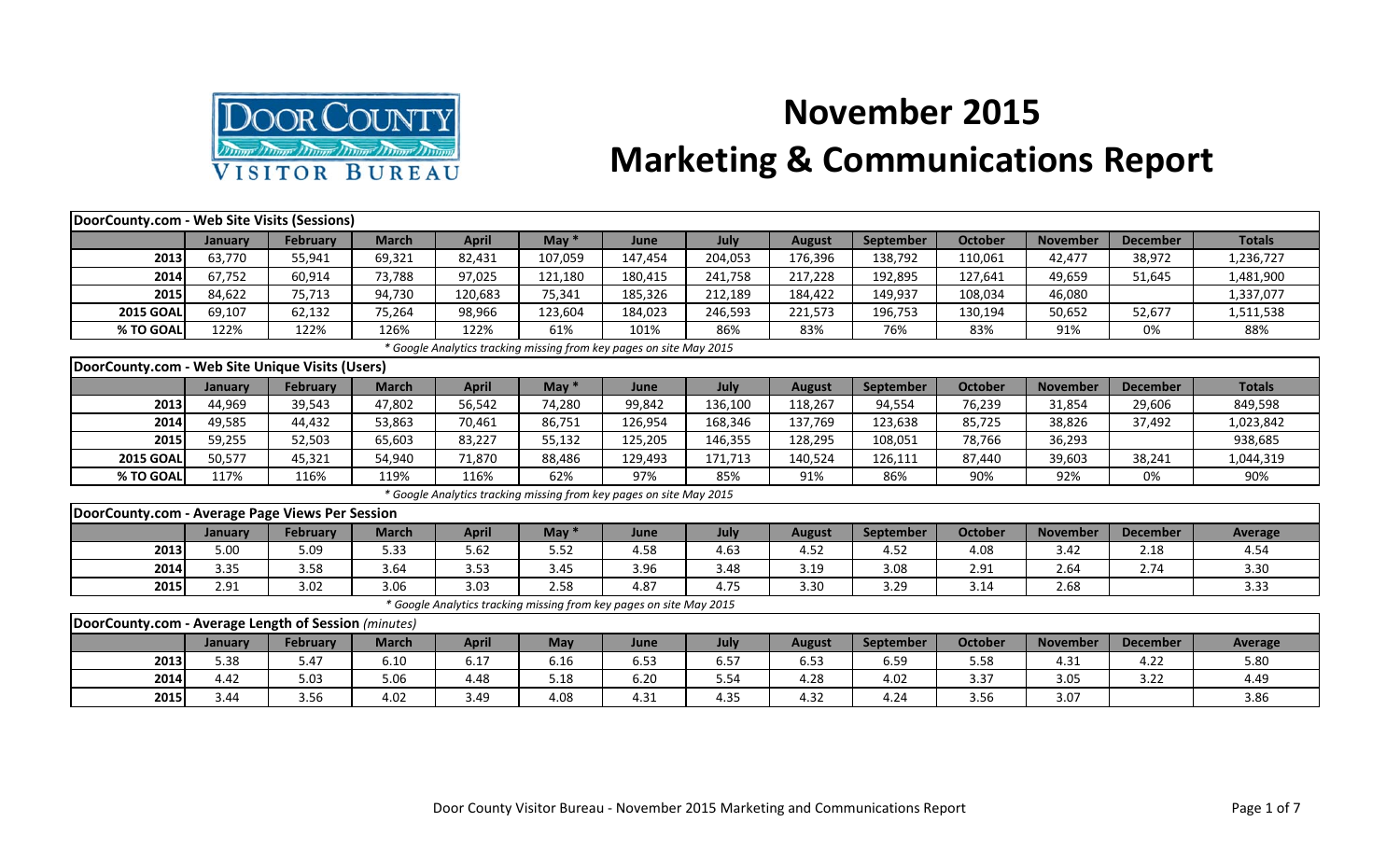

## **November 2015 Marketing & Communications Report**

| DoorCounty.com - Web Site Visits (Sessions)          |         |                 |              |              |            |                                                                     |         |               |                  |                |                 |                 |                |
|------------------------------------------------------|---------|-----------------|--------------|--------------|------------|---------------------------------------------------------------------|---------|---------------|------------------|----------------|-----------------|-----------------|----------------|
|                                                      | January | <b>February</b> | <b>March</b> | <b>April</b> | May $*$    | June                                                                | July    | <b>August</b> | <b>September</b> | October        | <b>November</b> | <b>December</b> | <b>Totals</b>  |
| 2013                                                 | 63,770  | 55,941          | 69,321       | 82,431       | 107,059    | 147,454                                                             | 204,053 | 176,396       | 138,792          | 110,061        | 42,477          | 38,972          | 1,236,727      |
| 2014                                                 | 67,752  | 60,914          | 73,788       | 97,025       | 121,180    | 180,415                                                             | 241,758 | 217,228       | 192,895          | 127,641        | 49,659          | 51,645          | 1,481,900      |
| 2015                                                 | 84,622  | 75,713          | 94,730       | 120,683      | 75,341     | 185,326                                                             | 212,189 | 184,422       | 149,937          | 108,034        | 46,080          |                 | 1,337,077      |
| <b>2015 GOAL</b>                                     | 69,107  | 62,132          | 75,264       | 98,966       | 123,604    | 184,023                                                             | 246,593 | 221,573       | 196,753          | 130,194        | 50,652          | 52,677          | 1,511,538      |
| % TO GOAL                                            | 122%    | 122%            | 126%         | 122%         | 61%        | 101%                                                                | 86%     | 83%           | 76%              | 83%            | 91%             | 0%              | 88%            |
|                                                      |         |                 |              |              |            | * Google Analytics tracking missing from key pages on site May 2015 |         |               |                  |                |                 |                 |                |
| DoorCounty.com - Web Site Unique Visits (Users)      |         |                 |              |              |            |                                                                     |         |               |                  |                |                 |                 |                |
|                                                      | January | <b>February</b> | <b>March</b> | <b>April</b> | May $*$    | June                                                                | July    | <b>August</b> | <b>September</b> | <b>October</b> | <b>November</b> | <b>December</b> | <b>Totals</b>  |
| 2013                                                 | 44,969  | 39,543          | 47,802       | 56,542       | 74,280     | 99,842                                                              | 136,100 | 118,267       | 94,554           | 76,239         | 31,854          | 29,606          | 849,598        |
| 2014                                                 | 49,585  | 44,432          | 53,863       | 70,461       | 86,751     | 126,954                                                             | 168,346 | 137,769       | 123,638          | 85,725         | 38,826          | 37,492          | 1,023,842      |
| 2015                                                 | 59,255  | 52,503          | 65,603       | 83,227       | 55,132     | 125,205                                                             | 146,355 | 128,295       | 108,051          | 78,766         | 36,293          |                 | 938,685        |
| <b>2015 GOAL</b>                                     | 50,577  | 45,321          | 54,940       | 71,870       | 88,486     | 129,493                                                             | 171,713 | 140,524       | 126,111          | 87,440         | 39,603          | 38,241          | 1,044,319      |
| % TO GOAL                                            | 117%    | 116%            | 119%         | 116%         | 62%        | 97%                                                                 | 85%     | 91%           | 86%              | 90%            | 92%             | 0%              | 90%            |
|                                                      |         |                 |              |              |            | * Google Analytics tracking missing from key pages on site May 2015 |         |               |                  |                |                 |                 |                |
| DoorCounty.com - Average Page Views Per Session      |         |                 |              |              |            |                                                                     |         |               |                  |                |                 |                 |                |
|                                                      | January | <b>February</b> | <b>March</b> | <b>April</b> | May $*$    | June                                                                | July    | <b>August</b> | September        | <b>October</b> | <b>November</b> | <b>December</b> | <b>Average</b> |
| 2013                                                 | 5.00    | 5.09            | 5.33         | 5.62         | 5.52       | 4.58                                                                | 4.63    | 4.52          | 4.52             | 4.08           | 3.42            | 2.18            | 4.54           |
| 2014                                                 | 3.35    | 3.58            | 3.64         | 3.53         | 3.45       | 3.96                                                                | 3.48    | 3.19          | 3.08             | 2.91           | 2.64            | 2.74            | 3.30           |
| 2015                                                 | 2.91    | 3.02            | 3.06         | 3.03         | 2.58       | 4.87                                                                | 4.75    | 3.30          | 3.29             | 3.14           | 2.68            |                 | 3.33           |
|                                                      |         |                 |              |              |            | * Google Analytics tracking missing from key pages on site May 2015 |         |               |                  |                |                 |                 |                |
| DoorCounty.com - Average Length of Session (minutes) |         |                 |              |              |            |                                                                     |         |               |                  |                |                 |                 |                |
|                                                      | January | <b>February</b> | <b>March</b> | <b>April</b> | <b>May</b> | June                                                                | July    | <b>August</b> | <b>September</b> | <b>October</b> | <b>November</b> | <b>December</b> | Average        |
| 2013                                                 | 5.38    | 5.47            | 6.10         | 6.17         | 6.16       | 6.53                                                                | 6.57    | 6.53          | 6.59             | 5.58           | 4.31            | 4.22            | 5.80           |
| 2014                                                 | 4.42    | 5.03            | 5.06         | 4.48         | 5.18       | 6.20                                                                | 5.54    | 4.28          | 4.02             | 3.37           | 3.05            | 3.22            | 4.49           |
| 2015                                                 | 3.44    | 3.56            | 4.02         | 3.49         | 4.08       | 4.31                                                                | 4.35    | 4.32          | 4.24             | 3.56           | 3.07            |                 | 3.86           |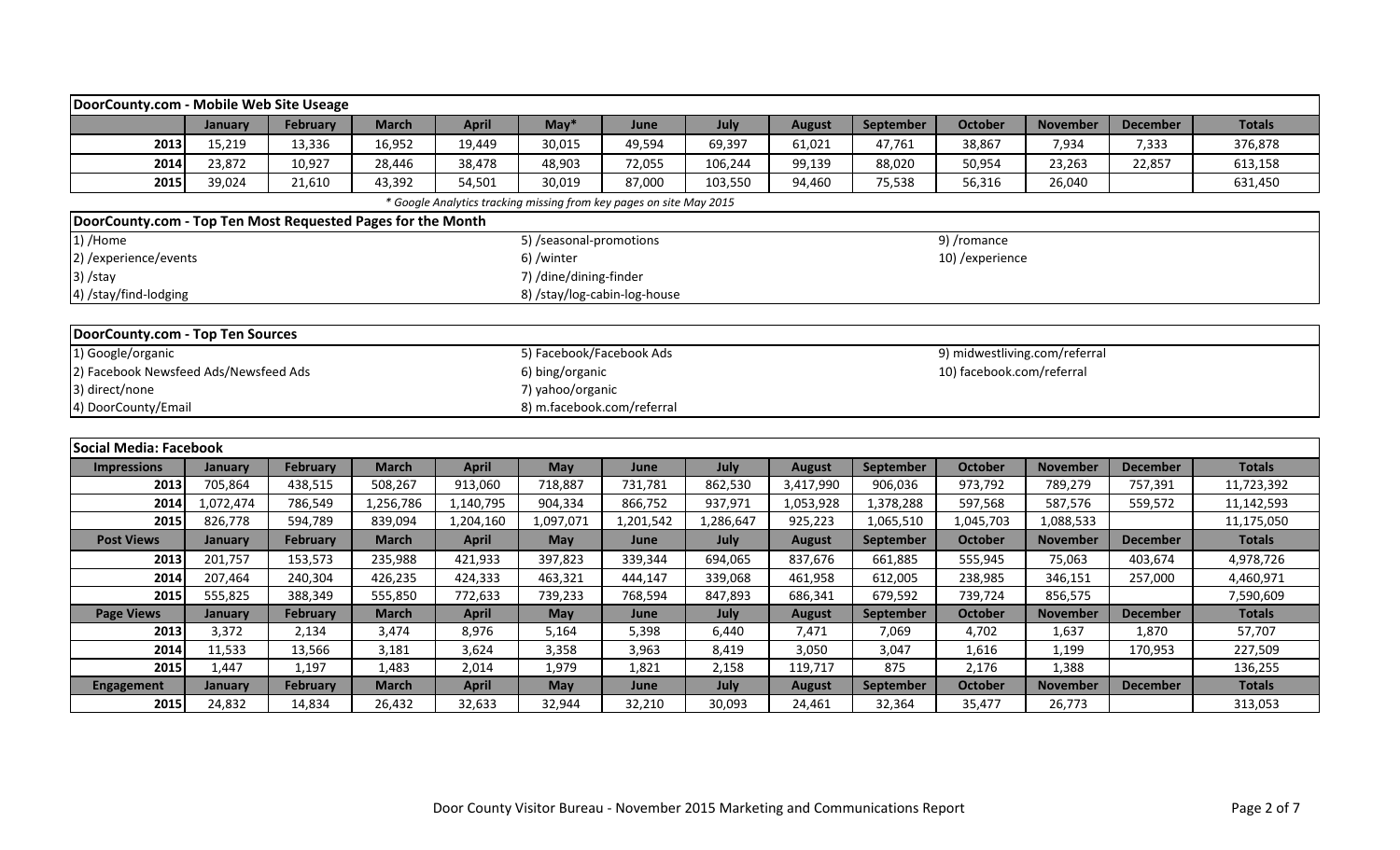|                                                             | DoorCounty.com - Mobile Web Site Useage                                               |                 |              |              |                              |                                                                     |           |               |                  |                  |                               |                 |               |  |
|-------------------------------------------------------------|---------------------------------------------------------------------------------------|-----------------|--------------|--------------|------------------------------|---------------------------------------------------------------------|-----------|---------------|------------------|------------------|-------------------------------|-----------------|---------------|--|
|                                                             | January                                                                               | February        | <b>March</b> | <b>April</b> | $May*$                       | June                                                                | July      | <b>August</b> | September        | <b>October</b>   | <b>November</b>               | <b>December</b> | <b>Totals</b> |  |
| 2013                                                        | 15,219                                                                                | 13,336          | 16,952       | 19,449       | 30,015                       | 49,594                                                              | 69,397    | 61,021        | 47,761           | 38,867           | 7,934                         | 7,333           | 376,878       |  |
| 2014                                                        | 23,872                                                                                | 10,927          | 28,446       | 38,478       | 48,903                       | 72,055                                                              | 106,244   | 99,139        | 88,020           | 50,954           | 23,263                        | 22,857          | 613,158       |  |
| 2015                                                        | 39,024                                                                                | 21,610          | 43,392       | 54,501       | 30,019                       | 87,000                                                              | 103,550   | 94,460        | 75,538           | 56,316           | 26,040                        |                 | 631,450       |  |
|                                                             |                                                                                       |                 |              |              |                              | * Google Analytics tracking missing from key pages on site May 2015 |           |               |                  |                  |                               |                 |               |  |
| DoorCounty.com - Top Ten Most Requested Pages for the Month |                                                                                       |                 |              |              |                              |                                                                     |           |               |                  |                  |                               |                 |               |  |
| 1) /Home                                                    |                                                                                       |                 |              |              | 5) /seasonal-promotions      |                                                                     |           |               |                  | 9) /romance      |                               |                 |               |  |
| 2) / experience/ events                                     |                                                                                       |                 |              |              | 6) /winter                   |                                                                     |           |               |                  | 10) / experience |                               |                 |               |  |
| $3)$ /stay                                                  |                                                                                       |                 |              |              | 7) /dine/dining-finder       |                                                                     |           |               |                  |                  |                               |                 |               |  |
| 4) /stay/find-lodging                                       |                                                                                       |                 |              |              | 8) /stay/log-cabin-log-house |                                                                     |           |               |                  |                  |                               |                 |               |  |
|                                                             |                                                                                       |                 |              |              |                              |                                                                     |           |               |                  |                  |                               |                 |               |  |
| DoorCounty.com - Top Ten Sources                            |                                                                                       |                 |              |              |                              |                                                                     |           |               |                  |                  |                               |                 |               |  |
| 1) Google/organic                                           |                                                                                       |                 |              |              | 5) Facebook/Facebook Ads     |                                                                     |           |               |                  |                  | 9) midwestliving.com/referral |                 |               |  |
|                                                             | 2) Facebook Newsfeed Ads/Newsfeed Ads<br>10) facebook.com/referral<br>6) bing/organic |                 |              |              |                              |                                                                     |           |               |                  |                  |                               |                 |               |  |
| 3) direct/none<br>7) yahoo/organic                          |                                                                                       |                 |              |              |                              |                                                                     |           |               |                  |                  |                               |                 |               |  |
| 4) DoorCounty/Email<br>8) m.facebook.com/referral           |                                                                                       |                 |              |              |                              |                                                                     |           |               |                  |                  |                               |                 |               |  |
|                                                             |                                                                                       |                 |              |              |                              |                                                                     |           |               |                  |                  |                               |                 |               |  |
| Social Media: Facebook                                      |                                                                                       |                 |              |              |                              |                                                                     |           |               |                  |                  |                               |                 |               |  |
| <b>Impressions</b>                                          | January                                                                               | <b>February</b> | <b>March</b> | <b>April</b> | May                          | June                                                                | July      | <b>August</b> | September        | <b>October</b>   | <b>November</b>               | <b>December</b> | <b>Totals</b> |  |
| 2013                                                        | 705,864                                                                               | 438,515         | 508,267      | 913,060      | 718,887                      | 731,781                                                             | 862,530   | 3,417,990     | 906,036          | 973,792          | 789,279                       | 757,391         | 11,723,392    |  |
| 2014                                                        | 1,072,474                                                                             | 786,549         | 1,256,786    | 1,140,795    | 904,334                      | 866,752                                                             | 937,971   | 1,053,928     | 1,378,288        | 597,568          | 587,576                       | 559,572         | 11,142,593    |  |
| 2015                                                        | 826,778                                                                               | 594,789         | 839,094      | 1,204,160    | 1,097,071                    | 1,201,542                                                           | 1,286,647 | 925,223       | 1,065,510        | 1,045,703        | 1,088,533                     |                 | 11,175,050    |  |
| <b>Post Views</b>                                           | January                                                                               | February        | <b>March</b> | <b>April</b> | May                          | June                                                                | July      | <b>August</b> | <b>September</b> | <b>October</b>   | <b>November</b>               | <b>December</b> | <b>Totals</b> |  |
| 2013                                                        | 201,757                                                                               | 153,573         | 235,988      | 421,933      | 397,823                      | 339,344                                                             | 694,065   | 837,676       | 661,885          | 555,945          | 75,063                        | 403,674         | 4,978,726     |  |
| 2014                                                        | 207,464                                                                               | 240,304         | 426,235      | 424,333      | 463,321                      | 444,147                                                             | 339,068   | 461,958       | 612,005          | 238,985          | 346,151                       | 257,000         | 4,460,971     |  |
| 2015                                                        | 555,825                                                                               | 388,349         | 555,850      | 772,633      | 739,233                      | 768,594                                                             | 847,893   | 686,341       | 679,592          | 739,724          | 856,575                       |                 | 7,590,609     |  |
| <b>Page Views</b>                                           | January                                                                               | February        | <b>March</b> | <b>April</b> | May                          | June                                                                | July      | <b>August</b> | September        | <b>October</b>   | <b>November</b>               | <b>December</b> | <b>Totals</b> |  |
| 2013                                                        | 3,372                                                                                 | 2,134           | 3,474        | 8,976        | 5,164                        | 5,398                                                               | 6,440     | 7,471         | 7,069            | 4,702            | 1,637                         | 1,870           | 57,707        |  |
| 2014                                                        | 11,533                                                                                | 13,566          | 3,181        | 3,624        | 3,358                        | 3,963                                                               | 8,419     | 3,050         | 3,047            | 1,616            | 1,199                         | 170,953         | 227,509       |  |
| 2015                                                        | 1,447                                                                                 | 1,197           | 1,483        | 2,014        | 1,979                        | 1,821                                                               | 2,158     | 119,717       | 875              | 2,176            | 1,388                         |                 | 136,255       |  |
| Engagement                                                  | January                                                                               | February        | <b>March</b> | <b>April</b> | <b>May</b>                   | June                                                                | July      | <b>August</b> | September        | <b>October</b>   | <b>November</b>               | <b>December</b> | <b>Totals</b> |  |
| 2015                                                        | 24,832                                                                                | 14,834          | 26,432       | 32,633       | 32,944                       | 32,210                                                              | 30,093    | 24,461        | 32,364           | 35,477           | 26,773                        |                 | 313,053       |  |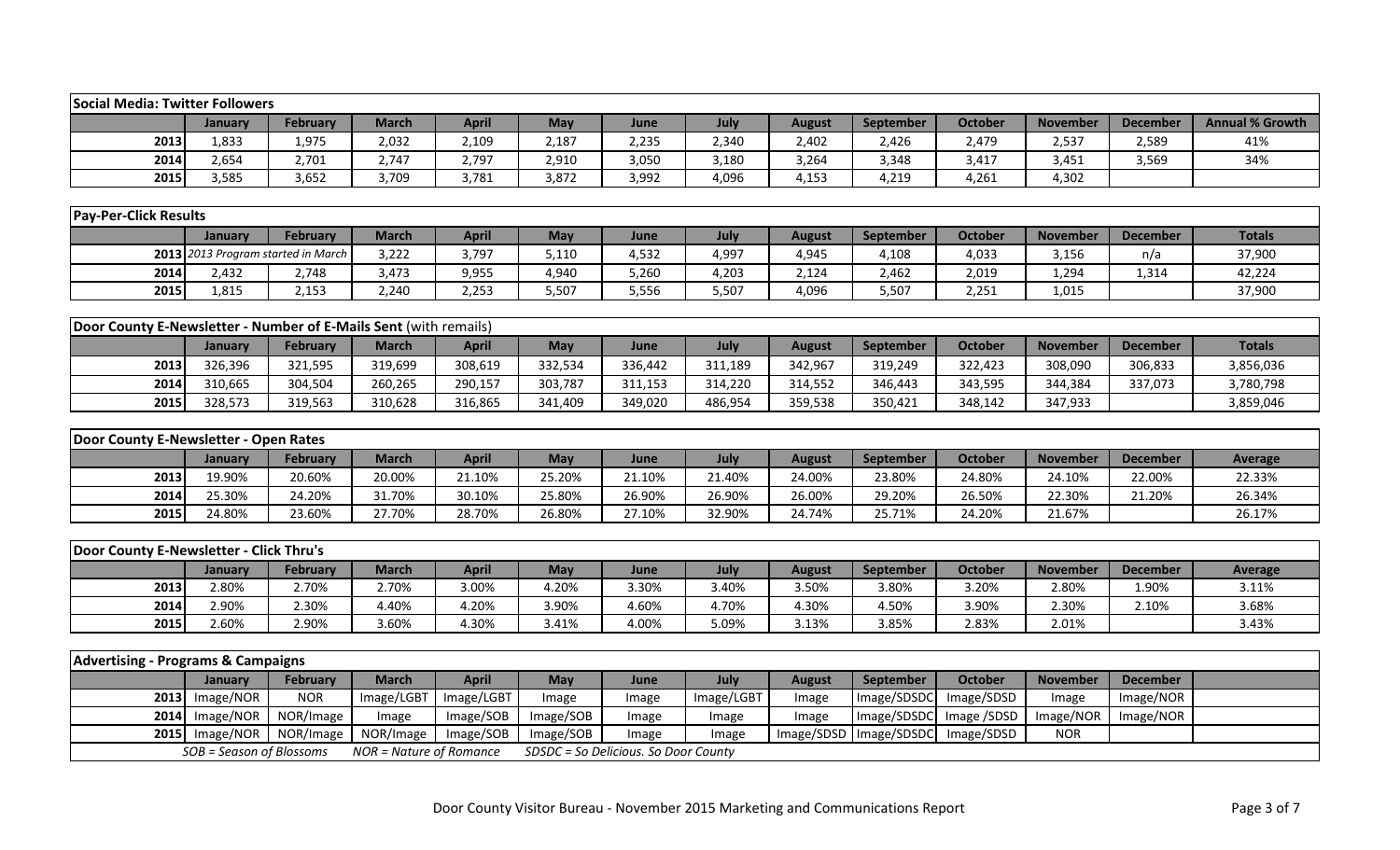| <b>Social Media: Twitter Followers</b>                           |                                    |                 |                         |              |            |                                      |            |               |             |                |                 |                 |                        |
|------------------------------------------------------------------|------------------------------------|-----------------|-------------------------|--------------|------------|--------------------------------------|------------|---------------|-------------|----------------|-----------------|-----------------|------------------------|
|                                                                  | January                            | February        | <b>March</b>            | <b>April</b> | <b>May</b> | June                                 | July       | <b>August</b> | September   | <b>October</b> | <b>November</b> | <b>December</b> | <b>Annual % Growth</b> |
| 2013                                                             | 1,833                              | 1,975           | 2,032                   | 2,109        | 2,187      | 2,235                                | 2,340      | 2,402         | 2,426       | 2,479          | 2,537           | 2,589           | 41%                    |
| 2014                                                             | 2,654                              | 2,701           | 2,747                   | 2,797        | 2,910      | 3,050                                | 3,180      | 3,264         | 3,348       | 3,417          | 3,451           | 3,569           | 34%                    |
| 2015                                                             | 3,585                              | 3,652           | 3,709                   | 3,781        | 3,872      | 3,992                                | 4,096      | 4,153         | 4,219       | 4,261          | 4,302           |                 |                        |
|                                                                  |                                    |                 |                         |              |            |                                      |            |               |             |                |                 |                 |                        |
| <b>Pay-Per-Click Results</b>                                     |                                    |                 |                         |              |            |                                      |            |               |             |                |                 |                 |                        |
|                                                                  | January                            | <b>February</b> | <b>March</b>            | <b>April</b> | May        | June                                 | July       | <b>August</b> | September   | <b>October</b> | <b>November</b> | <b>December</b> | <b>Totals</b>          |
|                                                                  | 2013 2013 Program started in March |                 | 3,222                   | 3,797        | 5,110      | 4,532                                | 4,997      | 4,945         | 4,108       | 4,033          | 3,156           | n/a             | 37,900                 |
| 2014                                                             | 2,432                              | 2,748           | 3,473                   | 9,955        | 4,940      | 5,260                                | 4,203      | 2,124         | 2,462       | 2,019          | 1,294           | 1,314           | 42,224                 |
| 2015                                                             | 1,815                              | 2,153           | 2,240                   | 2,253        | 5,507      | 5,556                                | 5,507      | 4,096         | 5,507       | 2,251          | 1,015           |                 | 37,900                 |
|                                                                  |                                    |                 |                         |              |            |                                      |            |               |             |                |                 |                 |                        |
| Door County E-Newsletter - Number of E-Mails Sent (with remails) |                                    |                 |                         |              |            |                                      |            |               |             |                |                 |                 |                        |
|                                                                  | January                            | <b>February</b> | <b>March</b>            | <b>April</b> | May        | June                                 | July       | <b>August</b> | September   | <b>October</b> | <b>November</b> | <b>December</b> | <b>Totals</b>          |
| 2013                                                             | 326,396                            | 321,595         | 319,699                 | 308,619      | 332,534    | 336,442                              | 311,189    | 342,967       | 319,249     | 322,423        | 308,090         | 306,833         | 3,856,036              |
| 2014                                                             | 310,665                            | 304,504         | 260,265                 | 290,157      | 303,787    | 311,153                              | 314,220    | 314,552       | 346,443     | 343,595        | 344,384         | 337,073         | 3,780,798              |
| 2015                                                             | 328,573                            | 319,563         | 310,628                 | 316,865      | 341,409    | 349,020                              | 486,954    | 359,538       | 350,421     | 348,142        | 347,933         |                 | 3,859,046              |
|                                                                  |                                    |                 |                         |              |            |                                      |            |               |             |                |                 |                 |                        |
| Door County E-Newsletter - Open Rates                            |                                    |                 |                         |              |            |                                      |            |               |             |                |                 |                 |                        |
|                                                                  | January                            | <b>February</b> | <b>March</b>            | <b>April</b> | May        | June                                 | July       | <b>August</b> | September   | <b>October</b> | <b>November</b> | <b>December</b> | <b>Average</b>         |
| 2013                                                             | 19.90%                             | 20.60%          | 20.00%                  | 21.10%       | 25.20%     | 21.10%                               | 21.40%     | 24.00%        | 23.80%      | 24.80%         | 24.10%          | 22.00%          | 22.33%                 |
| 2014                                                             | 25.30%                             | 24.20%          | 31.70%                  | 30.10%       | 25.80%     | 26.90%                               | 26.90%     | 26.00%        | 29.20%      | 26.50%         | 22.30%          | 21.20%          | 26.34%                 |
| 2015                                                             | 24.80%                             | 23.60%          | 27.70%                  | 28.70%       | 26.80%     | 27.10%                               | 32.90%     | 24.74%        | 25.71%      | 24.20%         | 21.67%          |                 | 26.17%                 |
|                                                                  |                                    |                 |                         |              |            |                                      |            |               |             |                |                 |                 |                        |
| Door County E-Newsletter - Click Thru's                          |                                    |                 |                         |              |            |                                      |            |               |             |                |                 |                 |                        |
|                                                                  | January                            | <b>February</b> | <b>March</b>            | <b>April</b> | May        | June                                 | July       | <b>August</b> | September   | <b>October</b> | <b>November</b> | <b>December</b> | <b>Average</b>         |
| 2013                                                             | 2.80%                              | 2.70%           | 2.70%                   | 3.00%        | 4.20%      | 3.30%                                | 3.40%      | 3.50%         | 3.80%       | 3.20%          | 2.80%           | 1.90%           | 3.11%                  |
| 2014                                                             | 2.90%                              | 2.30%           | 4.40%                   | 4.20%        | 3.90%      | 4.60%                                | 4.70%      | 4.30%         | 4.50%       | 3.90%          | 2.30%           | 2.10%           | 3.68%                  |
| 2015                                                             | 2.60%                              | 2.90%           | 3.60%                   | 4.30%        | 3.41%      | 4.00%                                | 5.09%      | 3.13%         | 3.85%       | 2.83%          | 2.01%           |                 | 3.43%                  |
|                                                                  |                                    |                 |                         |              |            |                                      |            |               |             |                |                 |                 |                        |
| <b>Advertising - Programs &amp; Campaigns</b>                    |                                    |                 |                         |              |            |                                      |            |               |             |                |                 |                 |                        |
|                                                                  | January                            | February        | <b>March</b>            | <b>April</b> | <b>May</b> | June                                 | July       | <b>August</b> | September   | <b>October</b> | <b>November</b> | <b>December</b> |                        |
|                                                                  | $2013$ Image/NOR                   | <b>NOR</b>      | Image/LGBT              | Image/LGBT   | Image      | Image                                | Image/LGBT | Image         | Image/SDSDC | Image/SDSD     | Image           | Image/NOR       |                        |
|                                                                  | 2014 Image/NOR                     | NOR/Image       | Image                   | Image/SOB    | Image/SOB  | Image                                | Image      | Image         | Image/SDSDC | Image /SDSD    | Image/NOR       | Image/NOR       |                        |
| 2015                                                             | Image/NOR                          | NOR/Image       | NOR/Image               | Image/SOB    | Image/SOB  | Image                                | Image      | Image/SDSD    | Image/SDSDC | Image/SDSD     | <b>NOR</b>      |                 |                        |
|                                                                  | SOB = Season of Blossoms           |                 | NOR = Nature of Romance |              |            | SDSDC = So Delicious. So Door County |            |               |             |                |                 |                 |                        |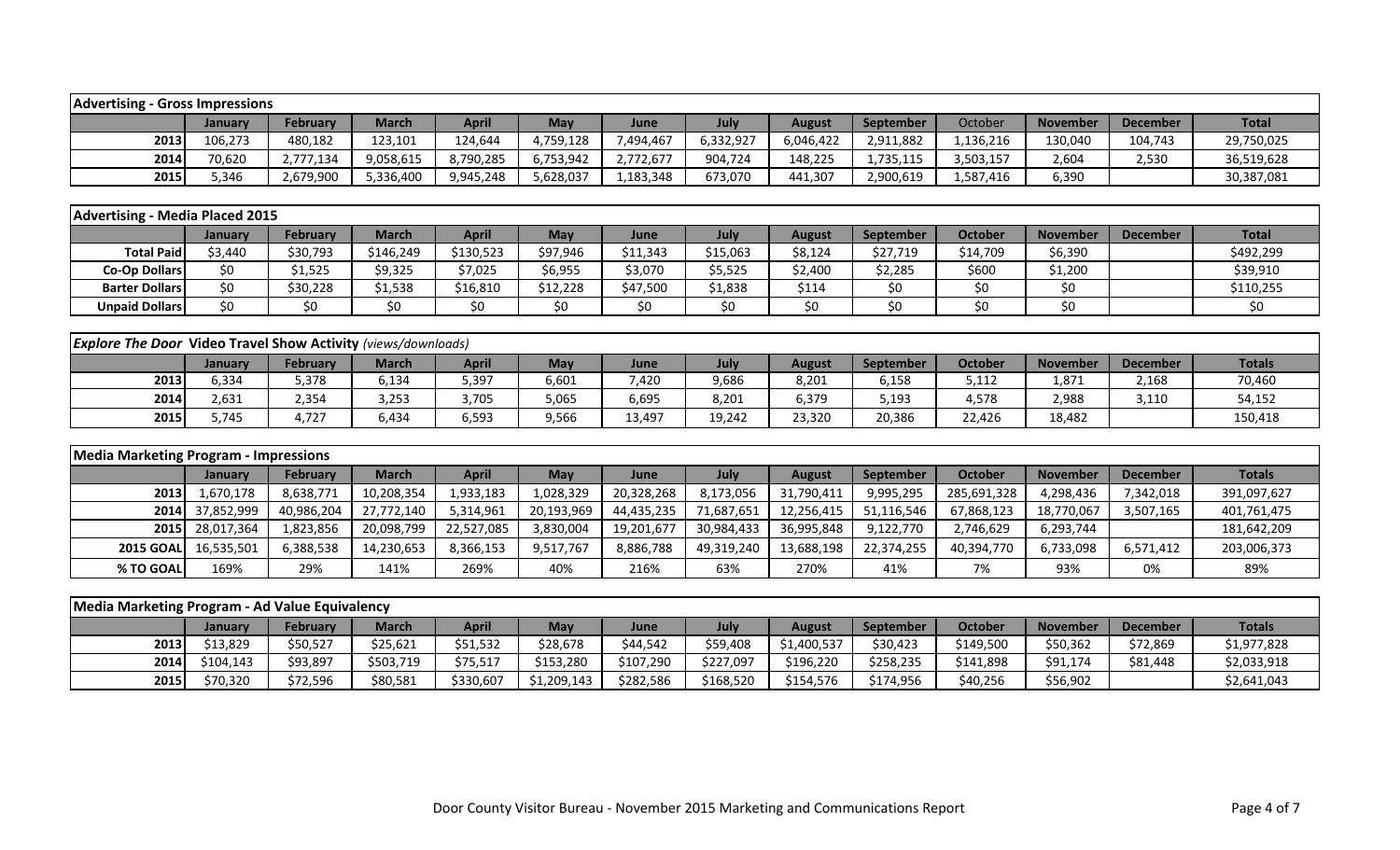| <b>Advertising - Gross Impressions</b>                               |            |                 |              |              |             |            |            |               |            |                |                 |                 |               |
|----------------------------------------------------------------------|------------|-----------------|--------------|--------------|-------------|------------|------------|---------------|------------|----------------|-----------------|-----------------|---------------|
|                                                                      | January    | <b>February</b> | <b>March</b> | <b>April</b> | May         | June       | July       | <b>August</b> | September  | October        | <b>November</b> | <b>December</b> | <b>Total</b>  |
| 2013                                                                 | 106,273    | 480,182         | 123,101      | 124,644      | 4,759,128   | 7,494,467  | 6,332,927  | 6,046,422     | 2,911,882  | 1,136,216      | 130,040         | 104,743         | 29,750,025    |
| 2014                                                                 | 70,620     | 2,777,134       | 9,058,615    | 8,790,285    | 6,753,942   | 2,772,677  | 904,724    | 148,225       | 1,735,115  | 3,503,157      | 2,604           | 2,530           | 36,519,628    |
| 2015                                                                 | 5,346      | 2,679,900       | 5,336,400    | 9,945,248    | 5,628,037   | 1,183,348  | 673,070    | 441,307       | 2,900,619  | 1,587,416      | 6,390           |                 | 30,387,081    |
|                                                                      |            |                 |              |              |             |            |            |               |            |                |                 |                 |               |
| <b>Advertising - Media Placed 2015</b>                               |            |                 |              |              |             |            |            |               |            |                |                 |                 |               |
|                                                                      | January    | <b>February</b> | <b>March</b> | <b>April</b> | May         | June       | July       | <b>August</b> | September  | <b>October</b> | <b>November</b> | <b>December</b> | <b>Total</b>  |
| <b>Total Paid</b>                                                    | \$3,440    | \$30,793        | \$146,249    | \$130,523    | \$97,946    | \$11,343   | \$15,063   | \$8,124       | \$27,719   | \$14,709       | \$6,390         |                 | \$492,299     |
| <b>Co-Op Dollars</b>                                                 | \$0        | \$1,525         | \$9,325      | \$7,025      | \$6,955     | \$3,070    | \$5,525    | \$2,400       | \$2,285    | \$600          | \$1,200         |                 | \$39,910      |
| <b>Barter Dollars</b>                                                | \$0        | \$30,228        | \$1,538      | \$16,810     | \$12,228    | \$47,500   | \$1,838    | \$114         | \$0        | \$0            | \$0             |                 | \$110,255     |
| <b>Unpaid Dollars</b>                                                | \$0        | \$0             | \$0          | \$0          | \$0         | \$0        | \$0        | \$0           | \$0        | \$0            | \$0             |                 | \$0           |
|                                                                      |            |                 |              |              |             |            |            |               |            |                |                 |                 |               |
| <b>Explore The Door Video Travel Show Activity (views/downloads)</b> |            |                 |              |              |             |            |            |               |            |                |                 |                 |               |
|                                                                      | January    | <b>February</b> | <b>March</b> | <b>April</b> | <b>May</b>  | June       | July       | <b>August</b> | September  | <b>October</b> | <b>November</b> | <b>December</b> | <b>Totals</b> |
| 2013                                                                 | 6,334      | 5,378           | 6,134        | 5,397        | 6,601       | 7,420      | 9,686      | 8,201         | 6,158      | 5,112          | 1,871           | 2,168           | 70,460        |
| 2014                                                                 | 2,631      | 2,354           | 3,253        | 3,705        | 5,065       | 6,695      | 8,201      | 6,379         | 5,193      | 4,578          | 2,988           | 3,110           | 54,152        |
| 2015                                                                 | 5,745      | 4,727           | 6,434        | 6,593        | 9,566       | 13,497     | 19,242     | 23,320        | 20,386     | 22,426         | 18,482          |                 | 150,418       |
|                                                                      |            |                 |              |              |             |            |            |               |            |                |                 |                 |               |
| <b>Media Marketing Program - Impressions</b>                         |            |                 |              |              |             |            |            |               |            |                |                 |                 |               |
|                                                                      | January    | <b>February</b> | <b>March</b> | <b>April</b> | May         | June       | July       | <b>August</b> | September  | <b>October</b> | <b>November</b> | <b>December</b> | <b>Totals</b> |
| 2013                                                                 | 1,670,178  | 8,638,771       | 10,208,354   | 1,933,183    | 1,028,329   | 20,328,268 | 8,173,056  | 31,790,411    | 9,995,295  | 285,691,328    | 4,298,436       | 7,342,018       | 391,097,627   |
| 2014                                                                 | 37,852,999 | 40,986,204      | 27,772,140   | 5,314,961    | 20,193,969  | 44,435,235 | 71,687,651 | 12,256,415    | 51,116,546 | 67,868,123     | 18,770,067      | 3,507,165       | 401,761,475   |
| 2015                                                                 | 28,017,364 | 1,823,856       | 20,098,799   | 22,527,085   | 3,830,004   | 19,201,677 | 30,984,433 | 36,995,848    | 9,122,770  | 2,746,629      | 6,293,744       |                 | 181,642,209   |
| <b>2015 GOAL</b>                                                     | 16,535,501 | 6,388,538       | 14,230,653   | 8,366,153    | 9,517,767   | 8,886,788  | 49,319,240 | 13,688,198    | 22,374,255 | 40,394,770     | 6,733,098       | 6,571,412       | 203,006,373   |
| % TO GOAL                                                            | 169%       | 29%             | 141%         | 269%         | 40%         | 216%       | 63%        | 270%          | 41%        | 7%             | 93%             | 0%              | 89%           |
|                                                                      |            |                 |              |              |             |            |            |               |            |                |                 |                 |               |
| Media Marketing Program - Ad Value Equivalency                       |            |                 |              |              |             |            |            |               |            |                |                 |                 |               |
|                                                                      | January    | <b>February</b> | <b>March</b> | <b>April</b> | May         | June       | July       | <b>August</b> | September  | <b>October</b> | <b>November</b> | <b>December</b> | <b>Totals</b> |
| 2013                                                                 | \$13,829   | \$50,527        | \$25,621     | \$51,532     | \$28,678    | \$44,542   | \$59,408   | \$1,400,537   | \$30,423   | \$149,500      | \$50,362        | \$72,869        | \$1,977,828   |
| 2014                                                                 | \$104,143  | \$93,897        | \$503,719    | \$75,517     | \$153,280   | \$107,290  | \$227,097  | \$196,220     | \$258,235  | \$141,898      | \$91,174        | \$81,448        | \$2,033,918   |
| 2015                                                                 | \$70,320   | \$72,596        | \$80,581     | \$330,607    | \$1,209,143 | \$282,586  | \$168,520  | \$154,576     | \$174,956  | \$40,256       | \$56,902        |                 | \$2,641,043   |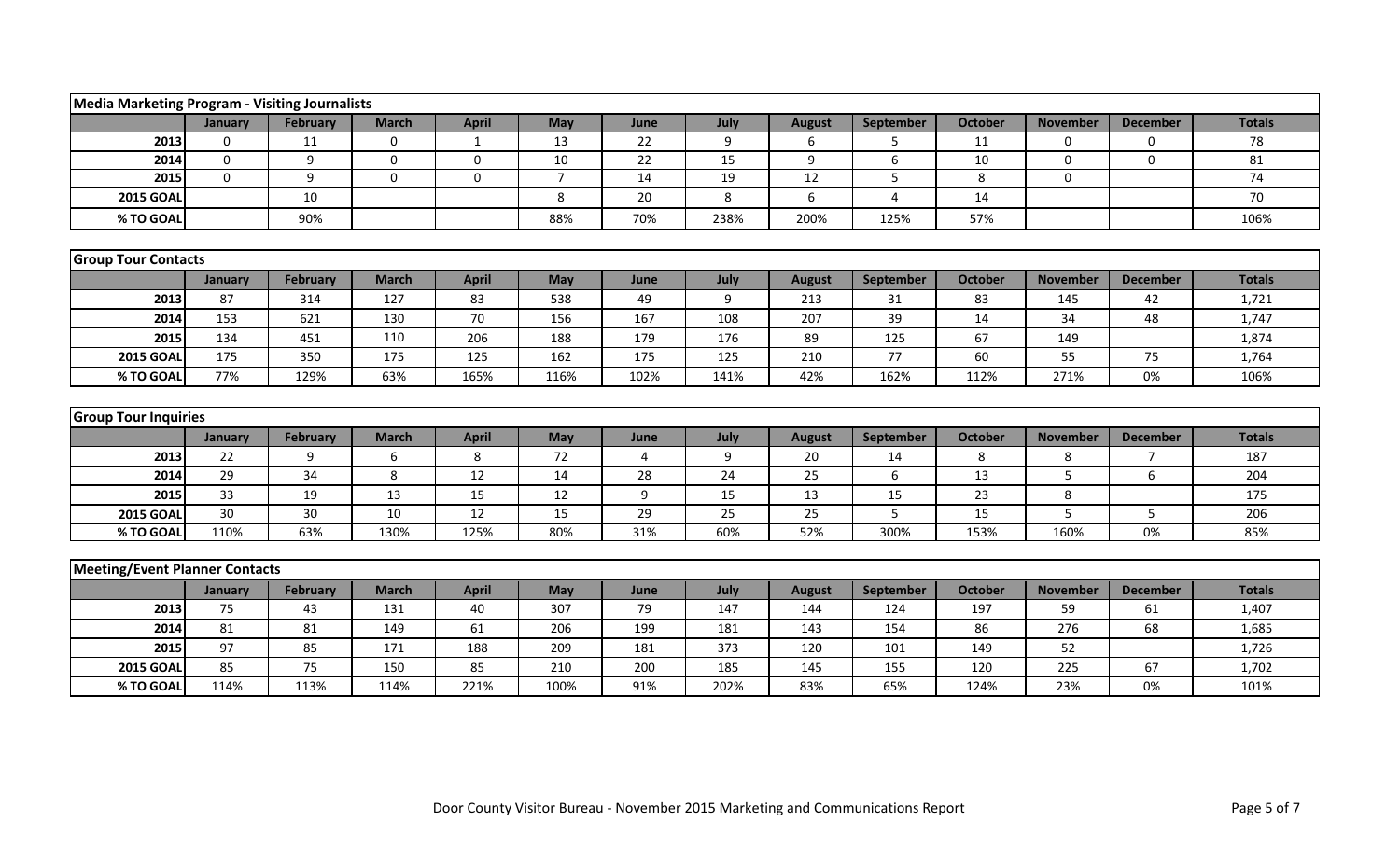| <b>Media Marketing Program - Visiting Journalists</b> |              |                 |              |              |                |      |      |               |                |                |                 |                 |               |  |
|-------------------------------------------------------|--------------|-----------------|--------------|--------------|----------------|------|------|---------------|----------------|----------------|-----------------|-----------------|---------------|--|
|                                                       | January      | February        | <b>March</b> | <b>April</b> | May            | June | July | <b>August</b> | September      | <b>October</b> | <b>November</b> | <b>December</b> | <b>Totals</b> |  |
| 2013                                                  | $\mathbf 0$  | 11              | $\mathbf 0$  | 1            | 13             | 22   | 9    | 6             | 5              | 11             | 0               | $\Omega$        | 78            |  |
| 2014                                                  | $\mathbf{0}$ | 9               | $\Omega$     | $\mathbf 0$  | 10             | 22   | 15   | 9             | 6              | 10             | $\Omega$        | $\Omega$        | 81            |  |
| 2015                                                  | $\mathbf 0$  | 9               | $\mathbf 0$  | $\pmb{0}$    | $\overline{7}$ | 14   | 19   | 12            | 5              | 8              | 0               |                 | 74            |  |
| <b>2015 GOAL</b>                                      |              | 10              |              |              | 8              | 20   | 8    | 6             | $\overline{4}$ | 14             |                 |                 | 70            |  |
| % TO GOAL                                             |              | 90%             |              |              | 88%            | 70%  | 238% | 200%          | 125%           | 57%            |                 |                 | 106%          |  |
|                                                       |              |                 |              |              |                |      |      |               |                |                |                 |                 |               |  |
| <b>Group Tour Contacts</b>                            |              |                 |              |              |                |      |      |               |                |                |                 |                 |               |  |
|                                                       | January      | February        | <b>March</b> | <b>April</b> | May            | June | July | <b>August</b> | September      | <b>October</b> | <b>November</b> | <b>December</b> | <b>Totals</b> |  |
| 2013                                                  | 87           | 314             | 127          | 83           | 538            | 49   | 9    | 213           | 31             | 83             | 145             | 42              | 1,721         |  |
| 2014                                                  | 153          | 621             | 130          | 70           | 156            | 167  | 108  | 207           | 39             | 14             | 34              | 48              | 1,747         |  |
| 2015                                                  | 134          | 451             | 110          | 206          | 188            | 179  | 176  | 89            | 125            | 67             | 149             |                 | 1,874         |  |
| <b>2015 GOAL</b>                                      | 175          | 350             | 175          | 125          | 162            | 175  | 125  | 210           | 77             | 60             | 55              | 75              | 1,764         |  |
| % TO GOAL                                             | 77%          | 129%            | 63%          | 165%         | 116%           | 102% | 141% | 42%           | 162%           | 112%           | 271%            | 0%              | 106%          |  |
|                                                       |              |                 |              |              |                |      |      |               |                |                |                 |                 |               |  |
| <b>Group Tour Inquiries</b>                           |              |                 |              |              |                |      |      |               |                |                |                 |                 |               |  |
|                                                       | January      | <b>February</b> | <b>March</b> | <b>April</b> | May            | June | July | <b>August</b> | September      | <b>October</b> | <b>November</b> | <b>December</b> | <b>Totals</b> |  |
| 2013                                                  | 22           | 9               | 6            | 8            | 72             | 4    | 9    | 20            | 14             | 8              | 8               | 7               | 187           |  |
| 2014                                                  | 29           | 34              | 8            | 12           | 14             | 28   | 24   | 25            | 6              | 13             | 5               | 6               | 204           |  |
| 2015                                                  | 33           | 19              | 13           | 15           | 12             | 9    | 15   | 13            | 15             | 23             | 8               |                 | 175           |  |
| <b>2015 GOAL</b>                                      | 30           | 30              | 10           | 12           | 15             | 29   | 25   | 25            | 5              | 15             | 5               | 5               | 206           |  |
| % TO GOAL                                             | 110%         | 63%             | 130%         | 125%         | 80%            | 31%  | 60%  | 52%           | 300%           | 153%           | 160%            | $0\%$           | 85%           |  |
|                                                       |              |                 |              |              |                |      |      |               |                |                |                 |                 |               |  |
| <b>Meeting/Event Planner Contacts</b>                 |              |                 |              |              |                |      |      |               |                |                |                 |                 |               |  |
|                                                       | January      | February        | <b>March</b> | <b>April</b> | May            | June | July | <b>August</b> | September      | <b>October</b> | <b>November</b> | <b>December</b> | <b>Totals</b> |  |
| 2013                                                  | 75           | 43              | 131          | 40           | 307            | 79   | 147  | 144           | 124            | 197            | 59              | 61              | 1,407         |  |
| 2014                                                  | 81           | 81              | 149          | 61           | 206            | 199  | 181  | 143           | 154            | 86             | 276             | 68              | 1,685         |  |
| 2015                                                  | 97           | 85              | 171          | 188          | 209            | 181  | 373  | 120           | 101            | 149            | 52              |                 | 1,726         |  |
| <b>2015 GOAL</b>                                      | 85           | 75              | 150          | 85           | 210            | 200  | 185  | 145           | 155            | 120            | 225             | 67              | 1,702         |  |
| % TO GOAL                                             | 114%         | 113%            | 114%         | 221%         | 100%           | 91%  | 202% | 83%           | 65%            | 124%           | 23%             | 0%              | 101%          |  |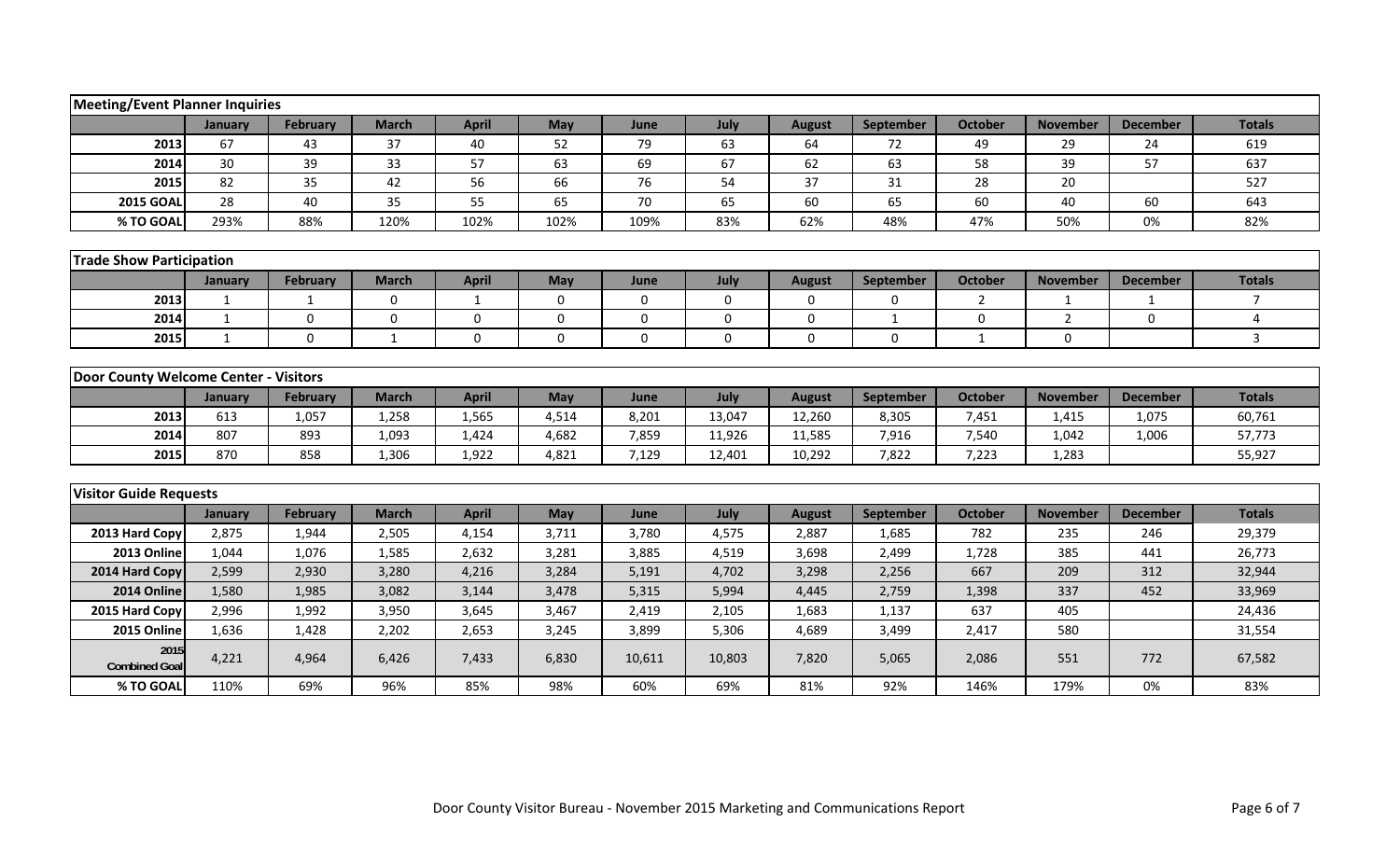|                                       | <b>Meeting/Event Planner Inquiries</b> |                 |              |              |             |        |             |               |             |                |                 |                 |                |
|---------------------------------------|----------------------------------------|-----------------|--------------|--------------|-------------|--------|-------------|---------------|-------------|----------------|-----------------|-----------------|----------------|
|                                       | January                                | <b>February</b> | <b>March</b> | <b>April</b> | May         | June   | July        | <b>August</b> | September   | <b>October</b> | <b>November</b> | <b>December</b> | <b>Totals</b>  |
| 2013                                  | 67                                     | 43              | 37           | 40           | 52          | 79     | 63          | 64            | 72          | 49             | 29              | 24              | 619            |
| 2014                                  | 30                                     | 39              | 33           | 57           | 63          | 69     | 67          | 62            | 63          | 58             | 39              | 57              | 637            |
| 2015                                  | 82                                     | 35              | 42           | 56           | 66          | 76     | 54          | 37            | 31          | 28             | 20              |                 | 527            |
| <b>2015 GOAL</b>                      | 28                                     | 40              | 35           | 55           | 65          | 70     | 65          | 60            | 65          | 60             | 40              | 60              | 643            |
| % TO GOAL                             | 293%                                   | 88%             | 120%         | 102%         | 102%        | 109%   | 83%         | 62%           | 48%         | 47%            | 50%             | 0%              | 82%            |
|                                       |                                        |                 |              |              |             |        |             |               |             |                |                 |                 |                |
|                                       | <b>Trade Show Participation</b>        |                 |              |              |             |        |             |               |             |                |                 |                 |                |
|                                       | January                                | <b>February</b> | <b>March</b> | <b>April</b> | May         | June   | July        | <b>August</b> | September   | <b>October</b> | <b>November</b> | <b>December</b> | <b>Totals</b>  |
| 2013                                  | 1                                      | 1               | $\mathbf 0$  | 1            | $\mathbf 0$ | 0      | $\mathbf 0$ | $\mathbf 0$   | $\mathbf 0$ | 2              | 1               | 1               | $\overline{7}$ |
| 2014                                  | $\mathbf{1}$                           | $\Omega$        | $\Omega$     | $\mathbf 0$  | $\mathbf 0$ | 0      | $\mathbf 0$ | $\mathbf{0}$  | 1           | 0              | $\overline{2}$  | $\Omega$        | 4              |
| 2015                                  | 1                                      | $\mathbf{0}$    | $\mathbf{1}$ | $\mathbf{0}$ | $\Omega$    | 0      | 0           | $\mathbf 0$   | $\mathbf 0$ | $\mathbf{1}$   | $\mathbf 0$     |                 | $\mathbf{3}$   |
|                                       |                                        |                 |              |              |             |        |             |               |             |                |                 |                 |                |
| Door County Welcome Center - Visitors |                                        |                 |              |              |             |        |             |               |             |                |                 |                 |                |
|                                       | January                                | <b>February</b> | <b>March</b> | <b>April</b> | May         | June   | July        | <b>August</b> | September   | <b>October</b> | <b>November</b> | <b>December</b> | <b>Totals</b>  |
| 2013                                  | 613                                    | 1,057           | 1,258        | 1,565        | 4,514       | 8,201  | 13,047      | 12,260        | 8,305       | 7,451          | 1,415           | 1,075           | 60,761         |
| 2014                                  | 807                                    | 893             | 1,093        | 1,424        | 4,682       | 7,859  | 11,926      | 11,585        | 7,916       | 7,540          | 1,042           | 1,006           | 57,773         |
| 2015                                  | 870                                    | 858             | 1,306        | 1,922        | 4,821       | 7,129  | 12,401      | 10,292        | 7,822       | 7,223          | 1,283           |                 | 55,927         |
|                                       |                                        |                 |              |              |             |        |             |               |             |                |                 |                 |                |
| <b>Visitor Guide Requests</b>         |                                        |                 |              |              |             |        |             |               |             |                |                 |                 |                |
|                                       | January                                | <b>February</b> | <b>March</b> | <b>April</b> | May         | June   | July        | <b>August</b> | September   | <b>October</b> | <b>November</b> | <b>December</b> | <b>Totals</b>  |
| 2013 Hard Copy                        | 2,875                                  | 1,944           | 2,505        | 4,154        | 3,711       | 3,780  | 4,575       | 2,887         | 1,685       | 782            | 235             | 246             | 29,379         |
| 2013 Online                           | 1,044                                  | 1,076           | 1,585        | 2,632        | 3,281       | 3,885  | 4,519       | 3,698         | 2,499       | 1,728          | 385             | 441             | 26,773         |
| 2014 Hard Copy                        | 2,599                                  | 2,930           | 3,280        | 4,216        | 3,284       | 5,191  | 4,702       | 3,298         | 2,256       | 667            | 209             | 312             | 32,944         |
| 2014 Online                           | 1,580                                  | 1,985           | 3,082        | 3,144        | 3,478       | 5,315  | 5,994       | 4,445         | 2,759       | 1,398          | 337             | 452             | 33,969         |
| 2015 Hard Copy                        | 2,996                                  | 1,992           | 3,950        | 3,645        | 3,467       | 2,419  | 2,105       | 1,683         | 1,137       | 637            | 405             |                 | 24,436         |
| 2015 Online                           | 1,636                                  | 1,428           | 2,202        | 2,653        | 3,245       | 3,899  | 5,306       | 4,689         | 3,499       | 2,417          | 580             |                 | 31,554         |
| 2015<br><b>Combined Goal</b>          | 4,221                                  | 4,964           | 6,426        | 7,433        | 6,830       | 10,611 | 10,803      | 7,820         | 5,065       | 2,086          | 551             | 772             | 67,582         |
| % TO GOAL                             | 110%                                   | 69%             | 96%          | 85%          | 98%         | 60%    | 69%         | 81%           | 92%         | 146%           | 179%            | 0%              | 83%            |